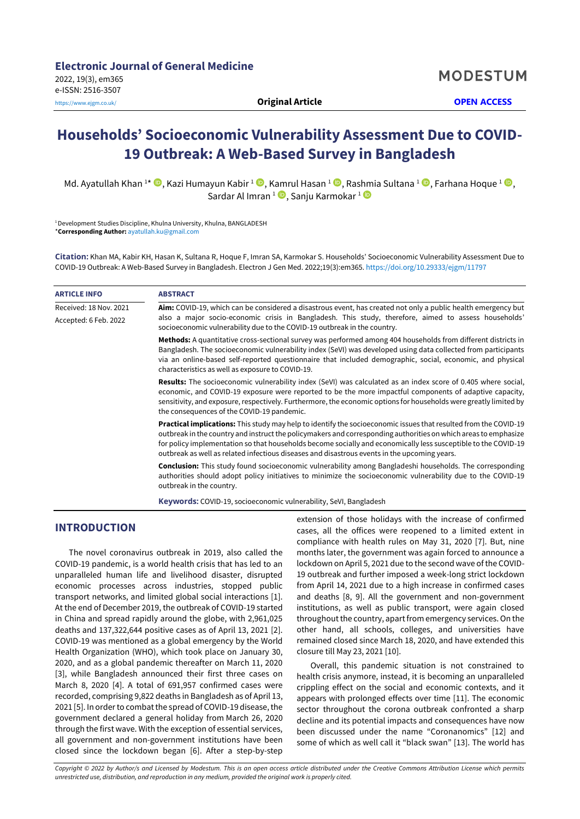**MODESTUM** 

# **Households' Socioeconomic Vulnerability Assessment Due to COVID-19 Outbreak: A Web-Based Survey in Bangladesh**

Md. Ayatullah Khan <sup>1\*</sup> ©[,](https://orcid.org/0000-0001-6164-7017) Kazi Humayun Kabir <sup>1</sup> ©, Kamrul Hasan <sup>1</sup> ©, Rashmia Sultana <sup>1</sup> ©, Farhana Hoque <sup>1</sup> ©, Sardar Al Imran <sup>1</sup> ➡, Sanju Karmokar <del>1</del>

<sup>1</sup> Development Studies Discipline, Khulna University, Khulna, BANGLADESH \***Corresponding Author:** [ayatullah.ku@gmail.com](mailto:ayatullah.ku@gmail.com)

**Citation:** Khan MA, Kabir KH, Hasan K, Sultana R, Hoque F, Imran SA, Karmokar S. Households' Socioeconomic Vulnerability Assessment Due to COVID-19 Outbreak: A Web-Based Survey in Bangladesh. Electron J Gen Med. 2022;19(3):em365. <https://doi.org/10.29333/ejgm/11797>

| <b>ARTICLE INFO</b>    | <b>ABSTRACT</b>                                                                                                                                                                                                                                                                                                                                                                                                                                       |
|------------------------|-------------------------------------------------------------------------------------------------------------------------------------------------------------------------------------------------------------------------------------------------------------------------------------------------------------------------------------------------------------------------------------------------------------------------------------------------------|
| Received: 18 Nov. 2021 | Aim: COVID-19, which can be considered a disastrous event, has created not only a public health emergency but                                                                                                                                                                                                                                                                                                                                         |
| Accepted: 6 Feb. 2022  | also a major socio-economic crisis in Bangladesh. This study, therefore, aimed to assess households'<br>socioeconomic vulnerability due to the COVID-19 outbreak in the country.                                                                                                                                                                                                                                                                      |
|                        | Methods: A quantitative cross-sectional survey was performed among 404 households from different districts in<br>Bangladesh. The socioeconomic vulnerability index (SeVI) was developed using data collected from participants<br>via an online-based self-reported questionnaire that included demographic, social, economic, and physical<br>characteristics as well as exposure to COVID-19.                                                       |
|                        | <b>Results:</b> The socioeconomic vulnerability index (SeVI) was calculated as an index score of 0.405 where social,<br>economic, and COVID-19 exposure were reported to be the more impactful components of adaptive capacity,<br>sensitivity, and exposure, respectively. Furthermore, the economic options for households were greatly limited by<br>the consequences of the COVID-19 pandemic.                                                    |
|                        | Practical implications: This study may help to identify the socioeconomic issues that resulted from the COVID-19<br>outbreak in the country and instruct the policymakers and corresponding authorities on which areas to emphasize<br>for policy implementation so that households become socially and economically less susceptible to the COVID-19<br>outbreak as well as related infectious diseases and disastrous events in the upcoming years. |
|                        | <b>Conclusion:</b> This study found socioeconomic vulnerability among Bangladeshi households. The corresponding<br>authorities should adopt policy initiatives to minimize the socioeconomic vulnerability due to the COVID-19<br>outbreak in the country.                                                                                                                                                                                            |
|                        | $\mathbf{R}$ . The contract of the contract of the contract of the contract of the contract of the contract of the contract of the contract of the contract of the contract of the contract of the contract of the contract of th                                                                                                                                                                                                                     |

**Keywords:** COVID-19, socioeconomic vulnerability, SeVI, Bangladesh

# **INTRODUCTION**

The novel coronavirus outbreak in 2019, also called the COVID-19 pandemic, is a world health crisis that has led to an unparalleled human life and livelihood disaster, disrupted economic processes across industries, stopped public transport networks, and limited global social interactions [1]. At the end of December 2019, the outbreak of COVID-19 started in China and spread rapidly around the globe, with 2,961,025 deaths and 137,322,644 positive cases as of April 13, 2021 [2]. COVID-19 was mentioned as a global emergency by the World Health Organization (WHO), which took place on January 30, 2020, and as a global pandemic thereafter on March 11, 2020 [3], while Bangladesh announced their first three cases on March 8, 2020 [4]. A total of 691,957 confirmed cases were recorded, comprising 9,822 deaths in Bangladesh as of April 13, 2021 [5]. In order to combat the spread of COVID-19 disease, the government declared a general holiday from March 26, 2020 through the first wave. With the exception of essential services, all government and non-government institutions have been closed since the lockdown began [6]. After a step-by-step

extension of those holidays with the increase of confirmed cases, all the offices were reopened to a limited extent in compliance with health rules on May 31, 2020 [7]. But, nine months later, the government was again forced to announce a lockdown on April 5, 2021 due to the second wave of the COVID-19 outbreak and further imposed a week-long strict lockdown from April 14, 2021 due to a high increase in confirmed cases and deaths [8, 9]. All the government and non-government institutions, as well as public transport, were again closed throughout the country, apart from emergency services. On the other hand, all schools, colleges, and universities have remained closed since March 18, 2020, and have extended this closure till May 23, 2021 [10].

Overall, this pandemic situation is not constrained to health crisis anymore, instead, it is becoming an unparalleled crippling effect on the social and economic contexts, and it appears with prolonged effects over time [11]. The economic sector throughout the corona outbreak confronted a sharp decline and its potential impacts and consequences have now been discussed under the name "Coronanomics" [12] and some of which as well call it "black swan" [13]. The world has

*Copyright © 2022 by Author/s and Licensed by Modestum. This is an open access article distributed under the Creative Commons Attribution License which permits unrestricted use, distribution, and reproduction in any medium, provided the original work is properly cited.*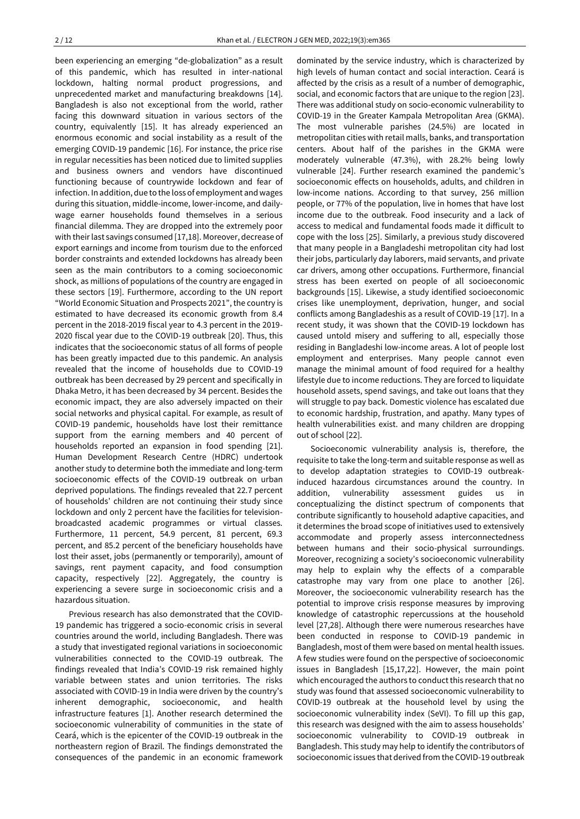been experiencing an emerging "de-globalization" as a result of this pandemic, which has resulted in inter-national lockdown, halting normal product progressions, and unprecedented market and manufacturing breakdowns [14]. Bangladesh is also not exceptional from the world, rather facing this downward situation in various sectors of the country, equivalently [15]. It has already experienced an enormous economic and social instability as a result of the emerging COVID-19 pandemic [16]. For instance, the price rise in regular necessities has been noticed due to limited supplies and business owners and vendors have discontinued functioning because of countrywide lockdown and fear of infection. In addition, due to the loss of employment and wages during this situation, middle-income, lower-income, and dailywage earner households found themselves in a serious financial dilemma. They are dropped into the extremely poor with their last savings consumed [17,18]. Moreover, decrease of export earnings and income from tourism due to the enforced border constraints and extended lockdowns has already been seen as the main contributors to a coming socioeconomic shock, as millions of populations of the country are engaged in these sectors [19]. Furthermore, according to the UN report "World Economic Situation and Prospects 2021", the country is estimated to have decreased its economic growth from 8.4 percent in the 2018-2019 fiscal year to 4.3 percent in the 2019- 2020 fiscal year due to the COVID-19 outbreak [20]. Thus, this indicates that the socioeconomic status of all forms of people has been greatly impacted due to this pandemic. An analysis revealed that the income of households due to COVID-19 outbreak has been decreased by 29 percent and specifically in Dhaka Metro, it has been decreased by 34 percent. Besides the economic impact, they are also adversely impacted on their social networks and physical capital. For example, as result of COVID-19 pandemic, households have lost their remittance support from the earning members and 40 percent of households reported an expansion in food spending [21]. Human Development Research Centre (HDRC) undertook another study to determine both the immediate and long-term socioeconomic effects of the COVID-19 outbreak on urban deprived populations. The findings revealed that 22.7 percent of households' children are not continuing their study since lockdown and only 2 percent have the facilities for televisionbroadcasted academic programmes or virtual classes. Furthermore, 11 percent, 54.9 percent, 81 percent, 69.3 percent, and 85.2 percent of the beneficiary households have lost their asset, jobs (permanently or temporarily), amount of savings, rent payment capacity, and food consumption capacity, respectively [22]. Aggregately, the country is experiencing a severe surge in socioeconomic crisis and a hazardous situation.

Previous research has also demonstrated that the COVID-19 pandemic has triggered a socio-economic crisis in several countries around the world, including Bangladesh. There was a study that investigated regional variations in socioeconomic vulnerabilities connected to the COVID-19 outbreak. The findings revealed that India's COVID-19 risk remained highly variable between states and union territories. The risks associated with COVID-19 in India were driven by the country's inherent demographic, socioeconomic, and health infrastructure features [1]. Another research determined the socioeconomic vulnerability of communities in the state of Ceará, which is the epicenter of the COVID-19 outbreak in the northeastern region of Brazil. The findings demonstrated the consequences of the pandemic in an economic framework

dominated by the service industry, which is characterized by high levels of human contact and social interaction. Ceará is affected by the crisis as a result of a number of demographic, social, and economic factors that are unique to the region [23]. There was additional study on socio-economic vulnerability to COVID-19 in the Greater Kampala Metropolitan Area (GKMA). The most vulnerable parishes (24.5%) are located in metropolitan cities with retail malls, banks, and transportation centers. About half of the parishes in the GKMA were moderately vulnerable (47.3%), with 28.2% being lowly vulnerable [24]. Further research examined the pandemic's socioeconomic effects on households, adults, and children in low-income nations. According to that survey, 256 million people, or 77% of the population, live in homes that have lost income due to the outbreak. Food insecurity and a lack of access to medical and fundamental foods made it difficult to cope with the loss [25]. Similarly, a previous study discovered that many people in a Bangladeshi metropolitan city had lost their jobs, particularly day laborers, maid servants, and private car drivers, among other occupations. Furthermore, financial stress has been exerted on people of all socioeconomic backgrounds [15]. Likewise, a study identified socioeconomic crises like unemployment, deprivation, hunger, and social conflicts among Bangladeshis as a result of COVID-19 [17]. In a recent study, it was shown that the COVID-19 lockdown has caused untold misery and suffering to all, especially those residing in Bangladeshi low-income areas. A lot of people lost employment and enterprises. Many people cannot even manage the minimal amount of food required for a healthy lifestyle due to income reductions. They are forced to liquidate household assets, spend savings, and take out loans that they will struggle to pay back. Domestic violence has escalated due to economic hardship, frustration, and apathy. Many types of health vulnerabilities exist. and many children are dropping out of school [22].

Socioeconomic vulnerability analysis is, therefore, the requisite to take the long-term and suitable response as well as to develop adaptation strategies to COVID-19 outbreakinduced hazardous circumstances around the country. In addition, vulnerability assessment guides us in conceptualizing the distinct spectrum of components that contribute significantly to household adaptive capacities, and it determines the broad scope of initiatives used to extensively accommodate and properly assess interconnectedness between humans and their socio-physical surroundings. Moreover, recognizing a society's socioeconomic vulnerability may help to explain why the effects of a comparable catastrophe may vary from one place to another [26]. Moreover, the socioeconomic vulnerability research has the potential to improve crisis response measures by improving knowledge of catastrophic repercussions at the household level [27,28]. Although there were numerous researches have been conducted in response to COVID-19 pandemic in Bangladesh, most of them were based on mental health issues. A few studies were found on the perspective of socioeconomic issues in Bangladesh [15,17,22]. However, the main point which encouraged the authors to conduct this research that no study was found that assessed socioeconomic vulnerability to COVID-19 outbreak at the household level by using the socioeconomic vulnerability index (SeVI). To fill up this gap, this research was designed with the aim to assess households' socioeconomic vulnerability to COVID-19 outbreak in Bangladesh. This study may help to identify the contributors of socioeconomic issues that derived from the COVID-19 outbreak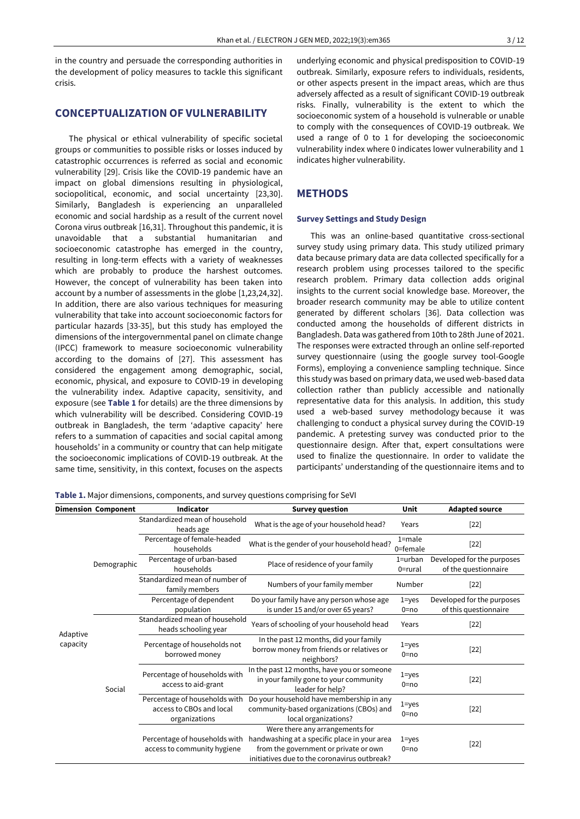in the country and persuade the corresponding authorities in the development of policy measures to tackle this significant crisis.

# **CONCEPTUALIZATION OF VULNERABILITY**

The physical or ethical vulnerability of specific societal groups or communities to possible risks or losses induced by catastrophic occurrences is referred as social and economic vulnerability [29]. Crisis like the COVID-19 pandemic have an impact on global dimensions resulting in physiological, sociopolitical, economic, and social uncertainty [23,30]. Similarly, Bangladesh is experiencing an unparalleled economic and social hardship as a result of the current novel Corona virus outbreak [16,31]. Throughout this pandemic, it is unavoidable that a substantial humanitarian and socioeconomic catastrophe has emerged in the country, resulting in long-term effects with a variety of weaknesses which are probably to produce the harshest outcomes. However, the concept of vulnerability has been taken into account by a number of assessments in the globe [1,23,24,32]. In addition, there are also various techniques for measuring vulnerability that take into account socioeconomic factors for particular hazards [33-35], but this study has employed the dimensions of the intergovernmental panel on climate change (IPCC) framework to measure socioeconomic vulnerability according to the domains of [27]. This assessment has considered the engagement among demographic, social, economic, physical, and exposure to COVID-19 in developing the vulnerability index. Adaptive capacity, sensitivity, and exposure (see **Table 1** for details) are the three dimensions by which vulnerability will be described. Considering COVID-19 outbreak in Bangladesh, the term 'adaptive capacity' here refers to a summation of capacities and social capital among households' in a community or country that can help mitigate the socioeconomic implications of COVID-19 outbreak. At the same time, sensitivity, in this context, focuses on the aspects

underlying economic and physical predisposition to COVID-19 outbreak. Similarly, exposure refers to individuals, residents, or other aspects present in the impact areas, which are thus adversely affected as a result of significant COVID-19 outbreak risks. Finally, vulnerability is the extent to which the socioeconomic system of a household is vulnerable or unable to comply with the consequences of COVID-19 outbreak. We used a range of 0 to 1 for developing the socioeconomic vulnerability index where 0 indicates lower vulnerability and 1 indicates higher vulnerability.

### **METHODS**

#### **Survey Settings and Study Design**

This was an online-based quantitative cross-sectional survey study using primary data. This study utilized primary data because primary data are data collected specifically for a research problem using processes tailored to the specific research problem. Primary data collection adds original insights to the current social knowledge base. Moreover, the broader research community may be able to utilize content generated by different scholars [36]. Data collection was conducted among the households of different districts in Bangladesh. Data was gathered from 10th to 28th June of 2021. The responses were extracted through an online self-reported survey questionnaire (using the google survey tool-Google Forms), employing a convenience sampling technique. Since this study was based on primary data, we used web-based data collection rather than publicly accessible and nationally representative data for this analysis. In addition, this study used a web-based survey methodology because it was challenging to conduct a physical survey during the COVID-19 pandemic. A pretesting survey was conducted prior to the questionnaire design. After that, expert consultations were used to finalize the questionnaire. In order to validate the participants' understanding of the questionnaire items and to

**Table 1.** Major dimensions, components, and survey questions comprising for SeVI

|                      | <b>Dimension Component</b> | <b>Indicator</b>                                                           | <b>Survey question</b>                                                                                                                                                   | Unit                   | <b>Adapted source</b>                               |
|----------------------|----------------------------|----------------------------------------------------------------------------|--------------------------------------------------------------------------------------------------------------------------------------------------------------------------|------------------------|-----------------------------------------------------|
| Adaptive<br>capacity | Demographic                | Standardized mean of household<br>heads age                                | What is the age of your household head?                                                                                                                                  | Years                  | $[22]$                                              |
|                      |                            | Percentage of female-headed<br>households                                  | What is the gender of your household head?                                                                                                                               | $1 = male$<br>0=female | $[22]$                                              |
|                      |                            | Percentage of urban-based<br>households                                    | Place of residence of your family                                                                                                                                        | 1=urban<br>0=rural     | Developed for the purposes<br>of the questionnaire  |
|                      |                            | Standardized mean of number of<br>family members                           | Numbers of your family member                                                                                                                                            | Number                 | $[22]$                                              |
|                      |                            | Percentage of dependent<br>population                                      | Do your family have any person whose age<br>is under 15 and/or over 65 years?                                                                                            | $1 = yes$<br>$0 = no$  | Developed for the purposes<br>of this questionnaire |
|                      | Social                     | Standardized mean of household<br>heads schooling year                     | Years of schooling of your household head                                                                                                                                | Years                  | $[22]$                                              |
|                      |                            | Percentage of households not<br>borrowed money                             | In the past 12 months, did your family<br>borrow money from friends or relatives or<br>neighbors?                                                                        | $1 = yes$<br>$0 = no$  | $[22]$                                              |
|                      |                            | Percentage of households with<br>access to aid-grant                       | In the past 12 months, have you or someone<br>in your family gone to your community<br>leader for help?                                                                  | $1 = yes$<br>$0 = no$  | $[22]$                                              |
|                      |                            | Percentage of households with<br>access to CBOs and local<br>organizations | Do your household have membership in any<br>community-based organizations (CBOs) and<br>local organizations?                                                             | $1 = yes$<br>$0 = no$  | $[22]$                                              |
|                      |                            | Percentage of households with<br>access to community hygiene               | Were there any arrangements for<br>handwashing at a specific place in your area<br>from the government or private or own<br>initiatives due to the coronavirus outbreak? | $1 = yes$<br>$0 = no$  | $[22]$                                              |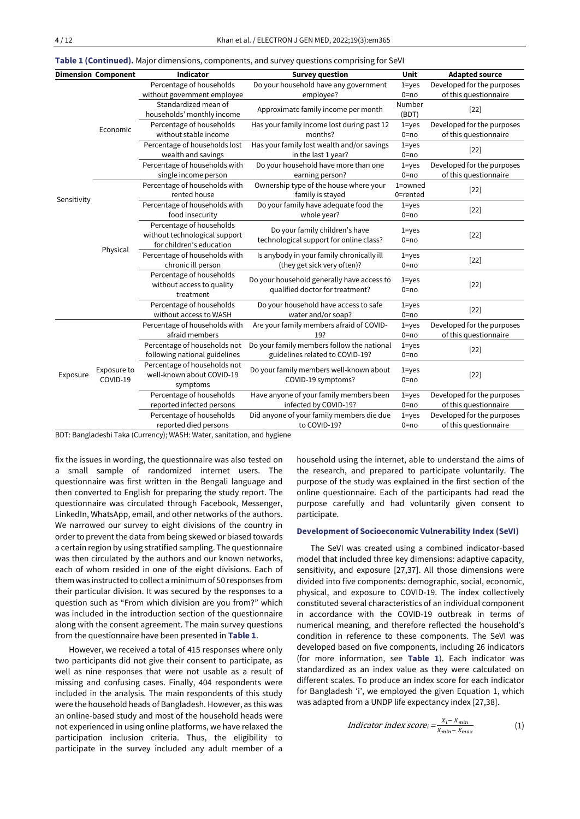| <b>Dimension Component</b> |                         | <b>Indicator</b>              | <b>Survey question</b>                     | Unit      | <b>Adapted source</b>      |  |
|----------------------------|-------------------------|-------------------------------|--------------------------------------------|-----------|----------------------------|--|
|                            |                         | Percentage of households      | Do your household have any government      | $1 = yes$ | Developed for the purposes |  |
|                            |                         | without government employee   | employee?                                  | $0 = no$  | of this questionnaire      |  |
|                            |                         | Standardized mean of          |                                            | Number    |                            |  |
|                            |                         | households' monthly income    | Approximate family income per month        | (BDT)     | $[22]$                     |  |
|                            | Economic                | Percentage of households      | Has your family income lost during past 12 |           | Developed for the purposes |  |
|                            |                         | without stable income         | months?                                    | $0 = no$  | of this questionnaire      |  |
|                            |                         | Percentage of households lost | Has your family lost wealth and/or savings | $1 = yes$ | $[22]$                     |  |
|                            |                         | wealth and savings            | in the last 1 year?                        | $0 = no$  |                            |  |
|                            |                         | Percentage of households with | Do your household have more than one       | $1 = yes$ | Developed for the purposes |  |
|                            |                         | single income person          | earning person?                            | $0 = no$  | of this questionnaire      |  |
|                            |                         | Percentage of households with | Ownership type of the house where your     | 1=owned   | $[22]$                     |  |
| Sensitivity                |                         | rented house                  | family is stayed                           | 0=rented  |                            |  |
|                            |                         | Percentage of households with | Do your family have adequate food the      | $1 = yes$ | $[22]$                     |  |
|                            |                         | food insecurity               | whole year?                                | $0 = no$  |                            |  |
|                            | Physical                | Percentage of households      | Do your family children's have             | $1 = yes$ |                            |  |
|                            |                         | without technological support | technological support for online class?    | $0 = no$  | $[22]$                     |  |
|                            |                         | for children's education      |                                            |           |                            |  |
|                            |                         | Percentage of households with | Is anybody in your family chronically ill  | $1 = yes$ | $[22]$                     |  |
|                            |                         | chronic ill person            | (they get sick very often)?                | $0 = no$  |                            |  |
|                            |                         | Percentage of households      | Do your household generally have access to | $1 = yes$ |                            |  |
|                            |                         | without access to quality     | qualified doctor for treatment?            | $0 = no$  | $[22]$                     |  |
|                            |                         | treatment                     |                                            |           |                            |  |
|                            |                         | Percentage of households      | Do your household have access to safe      | $1 = yes$ | $[22]$                     |  |
|                            |                         | without access to WASH        | water and/or soap?                         | $0 = no$  |                            |  |
|                            | Exposure to<br>COVID-19 | Percentage of households with | Are your family members afraid of COVID-   | $1 = yes$ | Developed for the purposes |  |
|                            |                         | afraid members                | 19?                                        | $0 = no$  | of this questionnaire      |  |
|                            |                         | Percentage of households not  | Do your family members follow the national | $1 = yes$ | $[22]$                     |  |
| Exposure                   |                         | following national guidelines | guidelines related to COVID-19?            | $0 = no$  |                            |  |
|                            |                         | Percentage of households not  | Do your family members well-known about    | $1 = yes$ |                            |  |
|                            |                         | well-known about COVID-19     | COVID-19 symptoms?                         | $0 = no$  | $[22]$                     |  |
|                            |                         | symptoms                      |                                            |           |                            |  |
|                            |                         | Percentage of households      | Have anyone of your family members been    | $1 = yes$ | Developed for the purposes |  |
|                            |                         | reported infected persons     | infected by COVID-19?                      | $0 = no$  | of this questionnaire      |  |
|                            |                         | Percentage of households      | Did anyone of your family members die due  | $1 = yes$ | Developed for the purposes |  |
|                            |                         | reported died persons         | to COVID-19?                               | $0 = no$  | of this questionnaire      |  |

**Table 1 (Continued).** Major dimensions, components, and survey questions comprising for SeVI

BDT: Bangladeshi Taka (Currency); WASH: Water, sanitation, and hygiene

fix the issues in wording, the questionnaire was also tested on a small sample of randomized internet users. The questionnaire was first written in the Bengali language and then converted to English for preparing the study report. The questionnaire was circulated through Facebook, Messenger, LinkedIn, WhatsApp, email, and other networks of the authors. We narrowed our survey to eight divisions of the country in order to prevent the data from being skewed or biased towards a certain region by using stratified sampling. The questionnaire was then circulated by the authors and our known networks, each of whom resided in one of the eight divisions. Each of them was instructed to collect a minimum of 50 responses from their particular division. It was secured by the responses to a question such as "From which division are you from?" which was included in the introduction section of the questionnaire along with the consent agreement. The main survey questions from the questionnaire have been presented in **Table 1**.

However, we received a total of 415 responses where only two participants did not give their consent to participate, as well as nine responses that were not usable as a result of missing and confusing cases. Finally, 404 respondents were included in the analysis. The main respondents of this study were the household heads of Bangladesh. However, as this was an online-based study and most of the household heads were not experienced in using online platforms, we have relaxed the participation inclusion criteria. Thus, the eligibility to participate in the survey included any adult member of a household using the internet, able to understand the aims of the research, and prepared to participate voluntarily. The purpose of the study was explained in the first section of the online questionnaire. Each of the participants had read the purpose carefully and had voluntarily given consent to participate.

#### **Development of Socioeconomic Vulnerability Index (SeVI)**

The SeVI was created using a combined indicator-based model that included three key dimensions: adaptive capacity, sensitivity, and exposure [27,37]. All those dimensions were divided into five components: demographic, social, economic, physical, and exposure to COVID-19. The index collectively constituted several characteristics of an individual component in accordance with the COVID-19 outbreak in terms of numerical meaning, and therefore reflected the household's condition in reference to these components. The SeVI was developed based on five components, including 26 indicators (for more information, see **Table 1**). Each indicator was standardized as an index value as they were calculated on different scales. To produce an index score for each indicator for Bangladesh 'i', we employed the given Equation 1, which was adapted from a UNDP life expectancy index [27,38].

$$
Indication index score_i = \frac{x_i - x_{min}}{x_{min} - x_{max}}
$$
(1)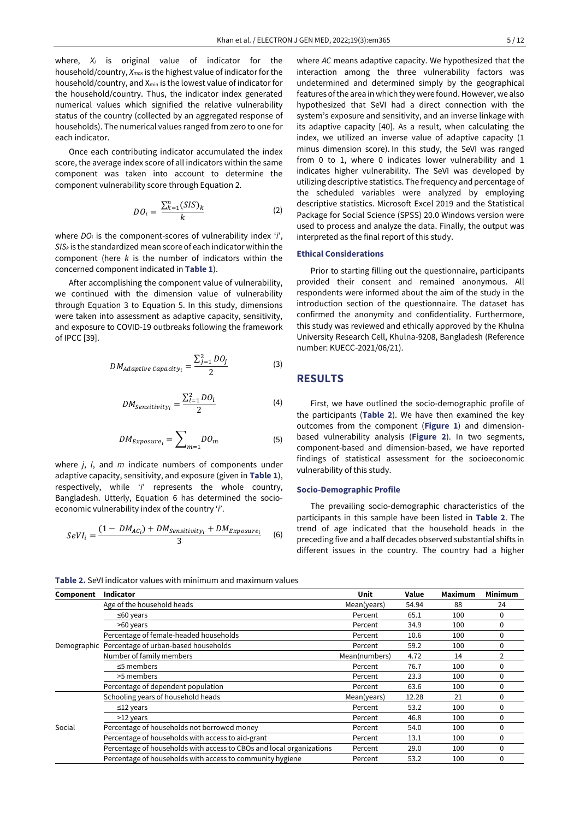where, *X<sup>i</sup>* is original value of indicator for the household/country, *Xmax* is the highest value of indicator for the household/country, and X<sub>min</sub> is the lowest value of indicator for the household/country. Thus, the indicator index generated numerical values which signified the relative vulnerability status of the country (collected by an aggregated response of households). The numerical values ranged from zero to one for each indicator.

Once each contributing indicator accumulated the index score, the average index score of all indicators within the same component was taken into account to determine the component vulnerability score through Equation 2.

$$
DO_{i} = \frac{\sum_{k=1}^{n} (SIS)_{k}}{k} \tag{2}
$$

where *DO<sup>i</sup>* is the component-scores of vulnerability index '*i*', *SIS<sup>k</sup>* is the standardized mean score of each indicator within the component (here *k* is the number of indicators within the concerned component indicated in **Table 1**).

After accomplishing the component value of vulnerability, we continued with the dimension value of vulnerability through Equation 3 to Equation 5. In this study, dimensions were taken into assessment as adaptive capacity, sensitivity, and exposure to COVID-19 outbreaks following the framework of IPCC [39].

$$
DM_{Adaptive\, Capacity_{i}} = \frac{\sum_{j=1}^{2} DO_{j}}{2}
$$
 (3)

$$
DM_{Sensitivity_i} = \frac{\sum_{l=1}^{2} DO_l}{2}
$$
 (4)

$$
DM_{Exposure_i} = \sum_{m=1} D O_m \tag{5}
$$

where *j*, *l*, and *m* indicate numbers of components under adaptive capacity, sensitivity, and exposure (given in **Table 1**), respectively, while '*i*' represents the whole country, Bangladesh. Utterly, Equation 6 has determined the socioeconomic vulnerability index of the country '*i*'.

$$
SeVI_i = \frac{(1 - DM_{AC_i}) + DM_{Sensitivity_i} + DM_{Exposure_i}}{3}
$$
 (6)

where *AC* means adaptive capacity. We hypothesized that the interaction among the three vulnerability factors was undetermined and determined simply by the geographical features of the area in which they were found. However, we also hypothesized that SeVI had a direct connection with the system's exposure and sensitivity, and an inverse linkage with its adaptive capacity [40]. As a result, when calculating the index, we utilized an inverse value of adaptive capacity (1 minus dimension score). In this study, the SeVI was ranged from 0 to 1, where 0 indicates lower vulnerability and 1 indicates higher vulnerability. The SeVI was developed by utilizing descriptive statistics. The frequency and percentage of the scheduled variables were analyzed by employing descriptive statistics. Microsoft Excel 2019 and the Statistical Package for Social Science (SPSS) 20.0 Windows version were used to process and analyze the data. Finally, the output was interpreted as the final report of this study.

### **Ethical Considerations**

Prior to starting filling out the questionnaire, participants provided their consent and remained anonymous. All respondents were informed about the aim of the study in the introduction section of the questionnaire. The dataset has confirmed the anonymity and confidentiality. Furthermore, this study was reviewed and ethically approved by the Khulna University Research Cell, Khulna-9208, Bangladesh (Reference number: KUECC-2021/06/21).

## **RESULTS**

First, we have outlined the socio-demographic profile of the participants (**Table 2**). We have then examined the key outcomes from the component (**Figure 1**) and dimensionbased vulnerability analysis (**Figure 2**). In two segments, component-based and dimension-based, we have reported findings of statistical assessment for the socioeconomic vulnerability of this study.

#### **Socio-Demographic Profile**

The prevailing socio-demographic characteristics of the participants in this sample have been listed in **Table 2**. The trend of age indicated that the household heads in the preceding five and a half decades observed substantial shifts in different issues in the country. The country had a higher

**Table 2.** SeVI indicator values with minimum and maximum values

| Component | <b>Indicator</b>                                                     | Unit          | Value | <b>Maximum</b> | <b>Minimum</b> |
|-----------|----------------------------------------------------------------------|---------------|-------|----------------|----------------|
|           | Age of the household heads                                           | Mean(years)   | 54.94 | 88             | 24             |
|           | $\leq 60$ years                                                      | Percent       | 65.1  | 100            | 0              |
|           | >60 years                                                            | Percent       | 34.9  | 100            | 0              |
|           | Percentage of female-headed households                               | Percent       | 10.6  | 100            | 0              |
|           | Demographic Percentage of urban-based households                     | Percent       | 59.2  | 100            | $\Omega$       |
|           | Number of family members                                             | Mean(numbers) | 4.72  | 14             | 2              |
|           | $\leq$ 5 members                                                     | Percent       | 76.7  | 100            | 0              |
|           | >5 members                                                           | Percent       | 23.3  | 100            | 0              |
|           | Percentage of dependent population                                   | Percent       | 63.6  | 100            | 0              |
| Social    | Schooling years of household heads                                   | Mean(years)   | 12.28 | 21             | 0              |
|           | $≤12$ years                                                          | Percent       | 53.2  | 100            | 0              |
|           | >12 years                                                            | Percent       | 46.8  | 100            | $\Omega$       |
|           | Percentage of households not borrowed money                          | Percent       | 54.0  | 100            | 0              |
|           | Percentage of households with access to aid-grant                    | Percent       | 13.1  | 100            | 0              |
|           | Percentage of households with access to CBOs and local organizations | Percent       | 29.0  | 100            | 0              |
|           | Percentage of households with access to community hygiene            | Percent       | 53.2  | 100            | $\Omega$       |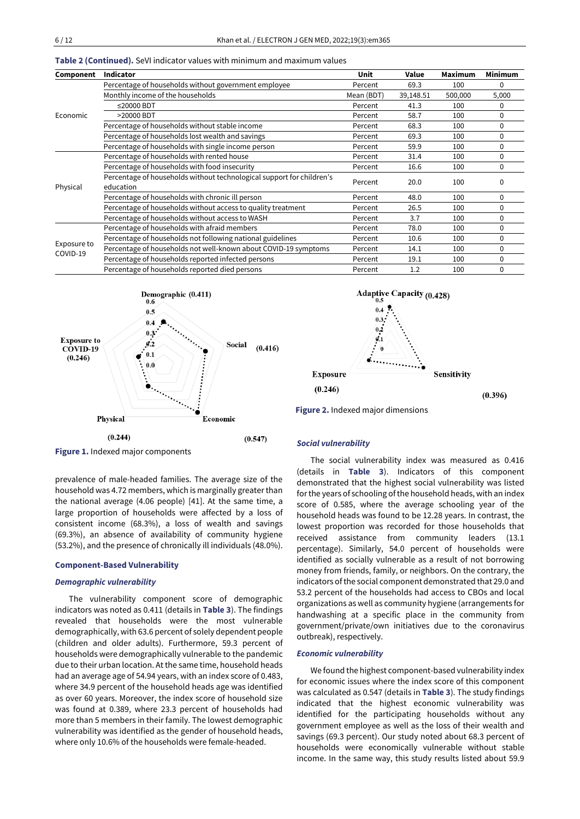|                                                              | <b>Indicator</b>                                                      | Unit       | Value     | <b>Maximum</b> | Minimum  |
|--------------------------------------------------------------|-----------------------------------------------------------------------|------------|-----------|----------------|----------|
| Component<br>Economic<br>Physical<br>Exposure to<br>COVID-19 | Percentage of households without government employee                  | Percent    | 69.3      | 100            | $\Omega$ |
|                                                              | Monthly income of the households                                      | Mean (BDT) | 39,148.51 | 500,000        | 5,000    |
|                                                              | $\leq$ 20000 BDT                                                      | Percent    | 41.3      | 100            | 0        |
|                                                              | >20000 BDT                                                            | Percent    | 58.7      | 100            | $\Omega$ |
|                                                              | Percentage of households without stable income                        | Percent    | 68.3      | 100            | $\Omega$ |
|                                                              | Percentage of households lost wealth and savings                      | Percent    | 69.3      | 100            | 0        |
|                                                              | Percentage of households with single income person                    | Percent    | 59.9      | 100            | $\Omega$ |
|                                                              | Percentage of households with rented house                            | Percent    | 31.4      | 100            | $\Omega$ |
|                                                              | Percentage of households with food insecurity                         | Percent    | 16.6      | 100            | 0        |
|                                                              | Percentage of households without technological support for children's | Percent    | 20.0      | 100            | 0        |
|                                                              | education                                                             |            |           |                |          |
|                                                              | Percentage of households with chronic ill person                      | Percent    | 48.0      | 100            | $\Omega$ |
|                                                              | Percentage of households without access to quality treatment          | Percent    | 26.5      | 100            | 0        |
|                                                              | Percentage of households without access to WASH                       | Percent    | 3.7       | 100            | $\Omega$ |
|                                                              | Percentage of households with afraid members                          | Percent    | 78.0      | 100            | $\Omega$ |
|                                                              | Percentage of households not following national guidelines            | Percent    | 10.6      | 100            | 0        |
|                                                              | Percentage of households not well-known about COVID-19 symptoms       | Percent    | 14.1      | 100            | $\Omega$ |
|                                                              | Percentage of households reported infected persons                    | Percent    | 19.1      | 100            | 0        |
|                                                              | Percentage of households reported died persons                        | Percent    | 1.2       | 100            | $\Omega$ |







**Adaptive Capacity (0.428)** 

**Figure 1.** Indexed major components

prevalence of male-headed families. The average size of the household was 4.72 members, which is marginally greater than the national average (4.06 people) [41]. At the same time, a large proportion of households were affected by a loss of consistent income (68.3%), a loss of wealth and savings (69.3%), an absence of availability of community hygiene (53.2%), and the presence of chronically ill individuals (48.0%).

#### **Component-Based Vulnerability**

#### *Demographic vulnerability*

The vulnerability component score of demographic indicators was noted as 0.411 (details in **Table 3**). The findings revealed that households were the most vulnerable demographically, with 63.6 percent of solely dependent people (children and older adults). Furthermore, 59.3 percent of households were demographically vulnerable to the pandemic due to their urban location. At the same time, household heads had an average age of 54.94 years, with an index score of 0.483, where 34.9 percent of the household heads age was identified as over 60 years. Moreover, the index score of household size was found at 0.389, where 23.3 percent of households had more than 5 members in their family. The lowest demographic vulnerability was identified as the gender of household heads, where only 10.6% of the households were female-headed.

#### *Social vulnerability*

The social vulnerability index was measured as 0.416 (details in **Table 3**). Indicators of this component demonstrated that the highest social vulnerability was listed for the years of schooling of the household heads, with an index score of 0.585, where the average schooling year of the household heads was found to be 12.28 years. In contrast, the lowest proportion was recorded for those households that received assistance from community leaders (13.1 percentage). Similarly, 54.0 percent of households were identified as socially vulnerable as a result of not borrowing money from friends, family, or neighbors. On the contrary, the indicators of the social component demonstrated that 29.0 and 53.2 percent of the households had access to CBOs and local organizations as well as community hygiene (arrangements for handwashing at a specific place in the community from government/private/own initiatives due to the coronavirus outbreak), respectively.

#### *Economic vulnerability*

We found the highest component-based vulnerability index for economic issues where the index score of this component was calculated as 0.547 (details in **Table 3**). The study findings indicated that the highest economic vulnerability was identified for the participating households without any government employee as well as the loss of their wealth and savings (69.3 percent). Our study noted about 68.3 percent of households were economically vulnerable without stable income. In the same way, this study results listed about 59.9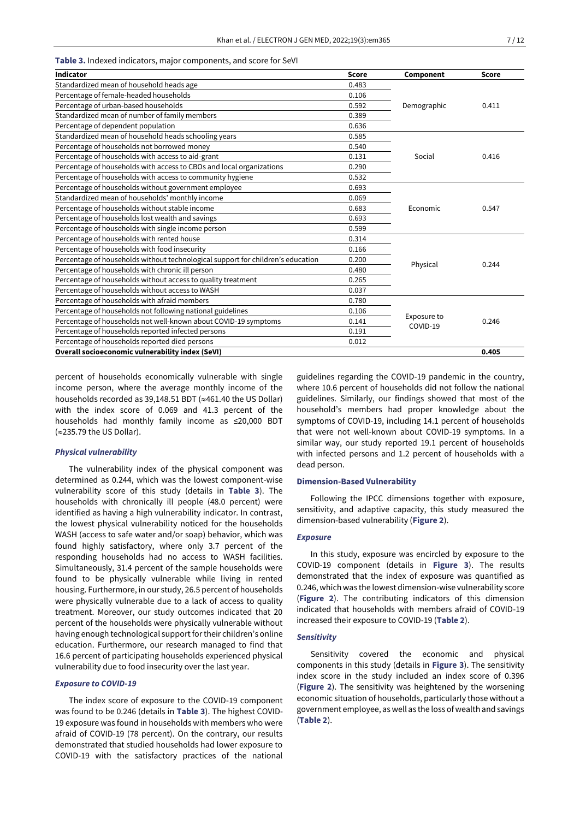#### **Table 3.** Indexed indicators, major components, and score for SeVI

| <b>Indicator</b>                                                                | <b>Score</b> | Component   | <b>Score</b> |  |
|---------------------------------------------------------------------------------|--------------|-------------|--------------|--|
| Standardized mean of household heads age                                        | 0.483        |             |              |  |
| Percentage of female-headed households                                          | 0.106        |             | 0.411        |  |
| Percentage of urban-based households                                            | 0.592        | Demographic |              |  |
| Standardized mean of number of family members                                   | 0.389        |             |              |  |
| Percentage of dependent population                                              | 0.636        |             |              |  |
| Standardized mean of household heads schooling years                            | 0.585        |             |              |  |
| Percentage of households not borrowed money                                     | 0.540        |             |              |  |
| Percentage of households with access to aid-grant                               | 0.131        | Social      | 0.416        |  |
| Percentage of households with access to CBOs and local organizations            | 0.290        |             |              |  |
| Percentage of households with access to community hygiene                       | 0.532        |             |              |  |
| Percentage of households without government employee                            | 0.693        |             |              |  |
| Standardized mean of households' monthly income                                 | 0.069        |             |              |  |
| Percentage of households without stable income                                  | 0.683        | Economic    | 0.547        |  |
| Percentage of households lost wealth and savings                                | 0.693        |             |              |  |
| Percentage of households with single income person                              | 0.599        |             |              |  |
| Percentage of households with rented house                                      | 0.314        |             | 0.244        |  |
| Percentage of households with food insecurity                                   | 0.166        |             |              |  |
| Percentage of households without technological support for children's education | 0.200        | Physical    |              |  |
| Percentage of households with chronic ill person                                | 0.480        |             |              |  |
| Percentage of households without access to quality treatment                    | 0.265        |             |              |  |
| Percentage of households without access to WASH                                 | 0.037        |             |              |  |
| Percentage of households with afraid members                                    | 0.780        |             |              |  |
| Percentage of households not following national guidelines                      | 0.106        | Exposure to |              |  |
| Percentage of households not well-known about COVID-19 symptoms                 | 0.141        | COVID-19    | 0.246        |  |
| Percentage of households reported infected persons                              | 0.191        |             |              |  |
| Percentage of households reported died persons                                  | 0.012        |             |              |  |
| <b>Overall socioeconomic vulnerability index (SeVI)</b>                         |              |             |              |  |

percent of households economically vulnerable with single income person, where the average monthly income of the households recorded as 39,148.51 BDT ( $\approx$ 461.40 the US Dollar) with the index score of 0.069 and 41.3 percent of the households had monthly family income as ≤20,000 BDT  $\approx$  235.79 the US Dollar).

#### *Physical vulnerability*

The vulnerability index of the physical component was determined as 0.244, which was the lowest component-wise vulnerability score of this study (details in **Table 3**). The households with chronically ill people (48.0 percent) were identified as having a high vulnerability indicator. In contrast, the lowest physical vulnerability noticed for the households WASH (access to safe water and/or soap) behavior, which was found highly satisfactory, where only 3.7 percent of the responding households had no access to WASH facilities. Simultaneously, 31.4 percent of the sample households were found to be physically vulnerable while living in rented housing. Furthermore, in our study, 26.5 percent of households were physically vulnerable due to a lack of access to quality treatment. Moreover, our study outcomes indicated that 20 percent of the households were physically vulnerable without having enough technological support for their children's online education. Furthermore, our research managed to find that 16.6 percent of participating households experienced physical vulnerability due to food insecurity over the last year.

#### *Exposure to COVID-19*

The index score of exposure to the COVID-19 component was found to be 0.246 (details in **Table 3**). The highest COVID-19 exposure was found in households with members who were afraid of COVID-19 (78 percent). On the contrary, our results demonstrated that studied households had lower exposure to COVID-19 with the satisfactory practices of the national

guidelines regarding the COVID-19 pandemic in the country, where 10.6 percent of households did not follow the national guidelines. Similarly, our findings showed that most of the household's members had proper knowledge about the symptoms of COVID-19, including 14.1 percent of households that were not well-known about COVID-19 symptoms. In a similar way, our study reported 19.1 percent of households with infected persons and 1.2 percent of households with a dead person.

#### **Dimension-Based Vulnerability**

Following the IPCC dimensions together with exposure, sensitivity, and adaptive capacity, this study measured the dimension-based vulnerability (**Figure 2**).

#### *Exposure*

In this study, exposure was encircled by exposure to the COVID-19 component (details in **Figure 3**). The results demonstrated that the index of exposure was quantified as 0.246, which was the lowest dimension-wise vulnerability score (**Figure 2**). The contributing indicators of this dimension indicated that households with members afraid of COVID-19 increased their exposure to COVID-19 (**Table 2**).

#### *Sensitivity*

Sensitivity covered the economic and physical components in this study (details in **Figure 3**). The sensitivity index score in the study included an index score of 0.396 (**Figure 2**). The sensitivity was heightened by the worsening economic situation of households, particularly those without a government employee, as well as the loss of wealth and savings (**Table 2**).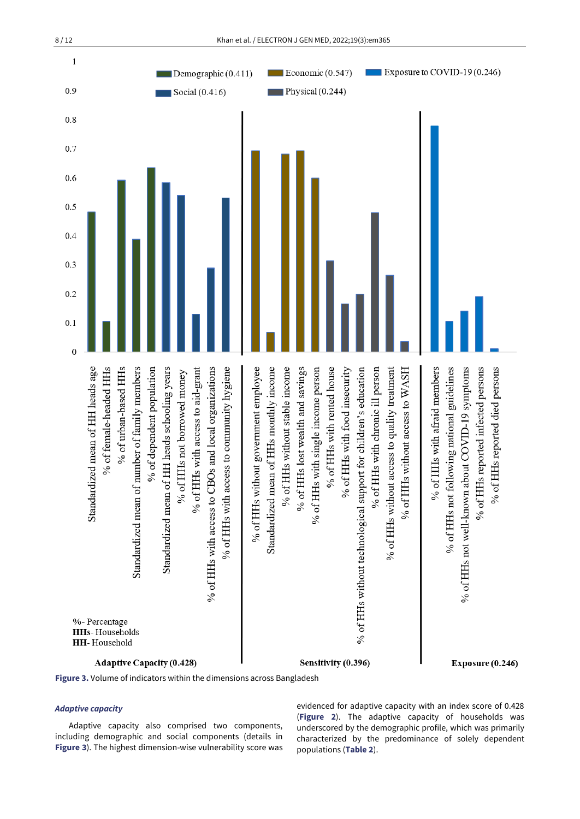

**Figure 3.** Volume of indicators within the dimensions across Bangladesh

#### *Adaptive capacity*

Adaptive capacity also comprised two components, including demographic and social components (details in **Figure 3**). The highest dimension-wise vulnerability score was evidenced for adaptive capacity with an index score of 0.428 (**Figure 2**). The adaptive capacity of households was underscored by the demographic profile, which was primarily characterized by the predominance of solely dependent populations (**Table 2**).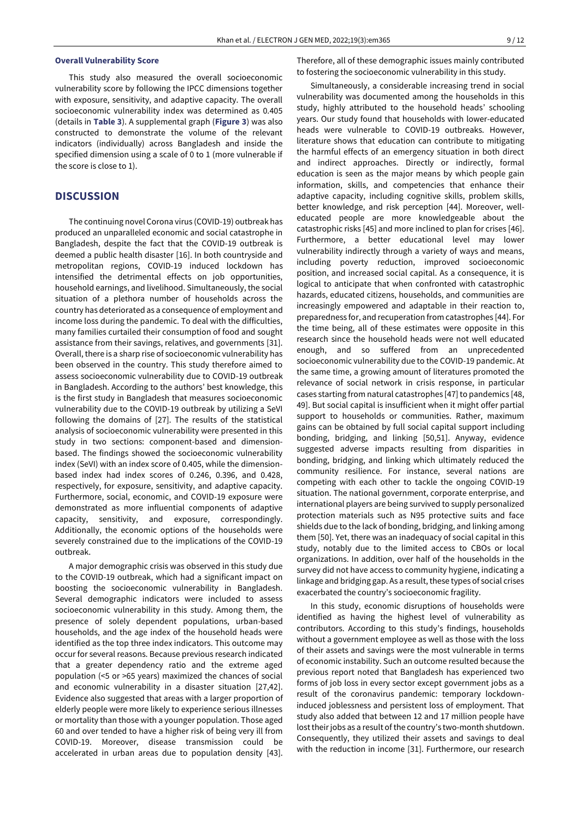#### **Overall Vulnerability Score**

This study also measured the overall socioeconomic vulnerability score by following the IPCC dimensions together with exposure, sensitivity, and adaptive capacity. The overall socioeconomic vulnerability index was determined as 0.405 (details in **Table 3**). A supplemental graph (**Figure 3**) was also constructed to demonstrate the volume of the relevant indicators (individually) across Bangladesh and inside the specified dimension using a scale of 0 to 1 (more vulnerable if the score is close to 1).

### **DISCUSSION**

The continuing novel Corona virus (COVID-19) outbreak has produced an unparalleled economic and social catastrophe in Bangladesh, despite the fact that the COVID-19 outbreak is deemed a public health disaster [16]. In both countryside and metropolitan regions, COVID-19 induced lockdown has intensified the detrimental effects on job opportunities, household earnings, and livelihood. Simultaneously, the social situation of a plethora number of households across the country has deteriorated as a consequence of employment and income loss during the pandemic. To deal with the difficulties, many families curtailed their consumption of food and sought assistance from their savings, relatives, and governments [31]. Overall, there is a sharp rise of socioeconomic vulnerability has been observed in the country. This study therefore aimed to assess socioeconomic vulnerability due to COVID-19 outbreak in Bangladesh. According to the authors' best knowledge, this is the first study in Bangladesh that measures socioeconomic vulnerability due to the COVID-19 outbreak by utilizing a SeVI following the domains of [27]. The results of the statistical analysis of socioeconomic vulnerability were presented in this study in two sections: component-based and dimensionbased. The findings showed the socioeconomic vulnerability index (SeVI) with an index score of 0.405, while the dimensionbased index had index scores of 0.246, 0.396, and 0.428, respectively, for exposure, sensitivity, and adaptive capacity. Furthermore, social, economic, and COVID-19 exposure were demonstrated as more influential components of adaptive capacity, sensitivity, and exposure, correspondingly. Additionally, the economic options of the households were severely constrained due to the implications of the COVID-19 outbreak.

A major demographic crisis was observed in this study due to the COVID-19 outbreak, which had a significant impact on boosting the socioeconomic vulnerability in Bangladesh. Several demographic indicators were included to assess socioeconomic vulnerability in this study. Among them, the presence of solely dependent populations, urban-based households, and the age index of the household heads were identified as the top three index indicators. This outcome may occur for several reasons. Because previous research indicated that a greater dependency ratio and the extreme aged population (<5 or >65 years) maximized the chances of social and economic vulnerability in a disaster situation [27,42]. Evidence also suggested that areas with a larger proportion of elderly people were more likely to experience serious illnesses or mortality than those with a younger population. Those aged 60 and over tended to have a higher risk of being very ill from COVID-19. Moreover, disease transmission could be accelerated in urban areas due to population density [43].

Therefore, all of these demographic issues mainly contributed to fostering the socioeconomic vulnerability in this study.

Simultaneously, a considerable increasing trend in social vulnerability was documented among the households in this study, highly attributed to the household heads' schooling years. Our study found that households with lower-educated heads were vulnerable to COVID-19 outbreaks. However, literature shows that education can contribute to mitigating the harmful effects of an emergency situation in both direct and indirect approaches. Directly or indirectly, formal education is seen as the major means by which people gain information, skills, and competencies that enhance their adaptive capacity, including cognitive skills, problem skills, better knowledge, and risk perception [44]. Moreover, welleducated people are more knowledgeable about the catastrophic risks [45] and more inclined to plan for crises [46]. Furthermore, a better educational level may lower vulnerability indirectly through a variety of ways and means, including poverty reduction, improved socioeconomic position, and increased social capital. As a consequence, it is logical to anticipate that when confronted with catastrophic hazards, educated citizens, households, and communities are increasingly empowered and adaptable in their reaction to, preparedness for, and recuperation from catastrophes [44]. For the time being, all of these estimates were opposite in this research since the household heads were not well educated enough, and so suffered from an unprecedented socioeconomic vulnerability due to the COVID-19 pandemic. At the same time, a growing amount of literatures promoted the relevance of social network in crisis response, in particular cases starting from natural catastrophes [47] to pandemics [48, 49]. But social capital is insufficient when it might offer partial support to households or communities. Rather, maximum gains can be obtained by full social capital support including bonding, bridging, and linking [50,51]. Anyway, evidence suggested adverse impacts resulting from disparities in bonding, bridging, and linking which ultimately reduced the community resilience. For instance, several nations are competing with each other to tackle the ongoing COVID-19 situation. The national government, corporate enterprise, and international players are being survived to supply personalized protection materials such as N95 protective suits and face shields due to the lack of bonding, bridging, and linking among them [50]. Yet, there was an inadequacy of social capital in this study, notably due to the limited access to CBOs or local organizations. In addition, over half of the households in the survey did not have access to community hygiene, indicating a linkage and bridging gap. As a result, these types of social crises exacerbated the country's socioeconomic fragility.

In this study, economic disruptions of households were identified as having the highest level of vulnerability as contributors. According to this study's findings, households without a government employee as well as those with the loss of their assets and savings were the most vulnerable in terms of economic instability. Such an outcome resulted because the previous report noted that Bangladesh has experienced two forms of job loss in every sector except government jobs as a result of the coronavirus pandemic: temporary lockdowninduced joblessness and persistent loss of employment. That study also added that between 12 and 17 million people have lost their jobs as a result of the country's two-month shutdown. Consequently, they utilized their assets and savings to deal with the reduction in income [31]. Furthermore, our research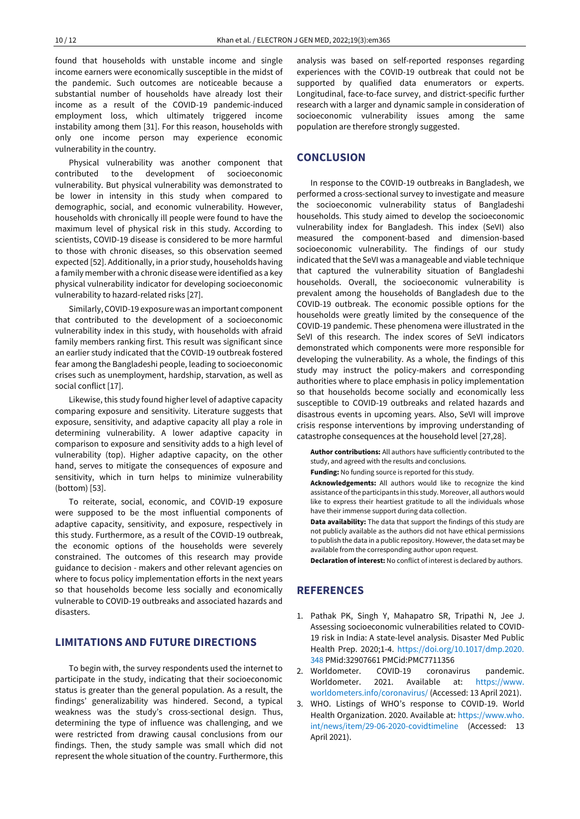found that households with unstable income and single income earners were economically susceptible in the midst of the pandemic. Such outcomes are noticeable because a substantial number of households have already lost their income as a result of the COVID-19 pandemic-induced employment loss, which ultimately triggered income instability among them [31]. For this reason, households with only one income person may experience economic vulnerability in the country.

Physical vulnerability was another component that contributed to the development of socioeconomic vulnerability. But physical vulnerability was demonstrated to be lower in intensity in this study when compared to demographic, social, and economic vulnerability. However, households with chronically ill people were found to have the maximum level of physical risk in this study. According to scientists, COVID-19 disease is considered to be more harmful to those with chronic diseases, so this observation seemed expected [52]. Additionally, in a prior study, households having a family member with a chronic disease were identified as a key physical vulnerability indicator for developing socioeconomic vulnerability to hazard-related risks [27].

Similarly, COVID-19 exposure was an important component that contributed to the development of a socioeconomic vulnerability index in this study, with households with afraid family members ranking first. This result was significant since an earlier study indicated that the COVID-19 outbreak fostered fear among the Bangladeshi people, leading to socioeconomic crises such as unemployment, hardship, starvation, as well as social conflict [17].

Likewise, this study found higher level of adaptive capacity comparing exposure and sensitivity. Literature suggests that exposure, sensitivity, and adaptive capacity all play a role in determining vulnerability. A lower adaptive capacity in comparison to exposure and sensitivity adds to a high level of vulnerability (top). Higher adaptive capacity, on the other hand, serves to mitigate the consequences of exposure and sensitivity, which in turn helps to minimize vulnerability (bottom) [53].

To reiterate, social, economic, and COVID-19 exposure were supposed to be the most influential components of adaptive capacity, sensitivity, and exposure, respectively in this study. Furthermore, as a result of the COVID-19 outbreak, the economic options of the households were severely constrained. The outcomes of this research may provide guidance to decision - makers and other relevant agencies on where to focus policy implementation efforts in the next years so that households become less socially and economically vulnerable to COVID-19 outbreaks and associated hazards and disasters.

## **LIMITATIONS AND FUTURE DIRECTIONS**

To begin with, the survey respondents used the internet to participate in the study, indicating that their socioeconomic status is greater than the general population. As a result, the findings' generalizability was hindered. Second, a typical weakness was the study's cross-sectional design. Thus, determining the type of influence was challenging, and we were restricted from drawing causal conclusions from our findings. Then, the study sample was small which did not represent the whole situation of the country. Furthermore, this analysis was based on self-reported responses regarding experiences with the COVID-19 outbreak that could not be supported by qualified data enumerators or experts. Longitudinal, face-to-face survey, and district-specific further research with a larger and dynamic sample in consideration of socioeconomic vulnerability issues among the same population are therefore strongly suggested.

### **CONCLUSION**

In response to the COVID-19 outbreaks in Bangladesh, we performed a cross-sectional survey to investigate and measure the socioeconomic vulnerability status of Bangladeshi households. This study aimed to develop the socioeconomic vulnerability index for Bangladesh. This index (SeVI) also measured the component-based and dimension-based socioeconomic vulnerability. The findings of our study indicated that the SeVI was a manageable and viable technique that captured the vulnerability situation of Bangladeshi households. Overall, the socioeconomic vulnerability is prevalent among the households of Bangladesh due to the COVID-19 outbreak. The economic possible options for the households were greatly limited by the consequence of the COVID-19 pandemic. These phenomena were illustrated in the SeVI of this research. The index scores of SeVI indicators demonstrated which components were more responsible for developing the vulnerability. As a whole, the findings of this study may instruct the policy-makers and corresponding authorities where to place emphasis in policy implementation so that households become socially and economically less susceptible to COVID-19 outbreaks and related hazards and disastrous events in upcoming years. Also, SeVI will improve crisis response interventions by improving understanding of catastrophe consequences at the household level [27,28].

**Author contributions:** All authors have sufficiently contributed to the study, and agreed with the results and conclusions.

**Funding:** No funding source is reported for this study.

**Acknowledgements:** All authors would like to recognize the kind assistance of the participants in this study. Moreover, all authors would like to express their heartiest gratitude to all the individuals whose have their immense support during data collection.

**Data availability:** The data that support the findings of this study are not publicly available as the authors did not have ethical permissions to publish the data in a public repository. However, the data set may be available from the corresponding author upon request.

**Declaration of interest:** No conflict of interest is declared by authors.

# **REFERENCES**

- 1. Pathak PK, Singh Y, Mahapatro SR, Tripathi N, Jee J. Assessing socioeconomic vulnerabilities related to COVID-19 risk in India: A state-level analysis. Disaster Med Public Health Prep. 2020;1-4. [https://doi.org/10.1017/dmp.2020.](https://doi.org/10.1017/dmp.2020.348) [348](https://doi.org/10.1017/dmp.2020.348) PMid:32907661 PMCid:PMC7711356
- 2. Worldometer. COVID-19 coronavirus pandemic. Worldometer. 2021. Available at: [https://www.](https://www.worldometers.info/coronavirus/) [worldometers.info/coronavirus/](https://www.worldometers.info/coronavirus/) (Accessed: 13 April 2021).
- 3. WHO. Listings of WHO's response to COVID-19. World Health Organization. 2020. Available at[: https://www.who.](https://www.who.int/news/item/29-06-2020-covidtimeline) [int/news/item/29-06-2020-covidtimeline](https://www.who.int/news/item/29-06-2020-covidtimeline) (Accessed: 13 April 2021).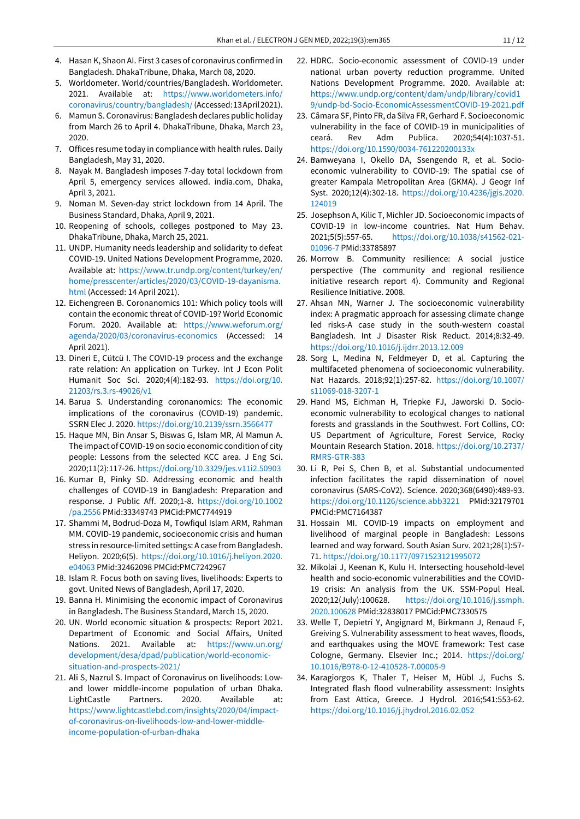- 4. Hasan K, Shaon AI. First 3 cases of coronavirus confirmed in Bangladesh. DhakaTribune, Dhaka, March 08, 2020.
- 5. Worldometer. World/countries/Bangladesh. Worldometer. 2021. Available at: [https://www.worldometers.info/](https://www.worldometers.info/coronavirus/country/bangladesh/) [coronavirus/country/bangladesh/\(](https://www.worldometers.info/coronavirus/country/bangladesh/)Accessed:13April2021).
- 6. Mamun S. Coronavirus: Bangladesh declares public holiday from March 26 to April 4. DhakaTribune, Dhaka, March 23, 2020.
- 7. Offices resume today in compliance with health rules. Daily Bangladesh, May 31, 2020.
- 8. Nayak M. Bangladesh imposes 7-day total lockdown from April 5, emergency services allowed. india.com, Dhaka, April 3, 2021.
- 9. Noman M. Seven-day strict lockdown from 14 April. The Business Standard, Dhaka, April 9, 2021.
- 10. Reopening of schools, colleges postponed to May 23. DhakaTribune, Dhaka, March 25, 2021.
- 11. UNDP. Humanity needs leadership and solidarity to defeat COVID-19. United Nations Development Programme, 2020. Available at: [https://www.tr.undp.org/content/turkey/en/](https://www.tr.undp.org/content/turkey/en/home/presscenter/articles/2020/03/COVID-19-dayanisma.html) [home/presscenter/articles/2020/03/COVID-19-dayanisma.](https://www.tr.undp.org/content/turkey/en/home/presscenter/articles/2020/03/COVID-19-dayanisma.html) [html](https://www.tr.undp.org/content/turkey/en/home/presscenter/articles/2020/03/COVID-19-dayanisma.html) (Accessed: 14 April 2021).
- 12. Eichengreen B. Coronanomics 101: Which policy tools will contain the economic threat of COVID-19? World Economic Forum. 2020. Available at: [https://www.weforum.org/](https://www.weforum.org/agenda/2020/03/coronavirus-economics) [agenda/2020/03/coronavirus-economics](https://www.weforum.org/agenda/2020/03/coronavirus-economics) (Accessed: 14 April 2021).
- 13. Dineri E, Cütcü I. The COVID-19 process and the exchange rate relation: An application on Turkey. Int J Econ Polit Humanit Soc Sci. 2020;4(4):182-93. [https://doi.org/10.](https://doi.org/10.21203/rs.3.rs-49026/v1) [21203/rs.3.rs-49026/v1](https://doi.org/10.21203/rs.3.rs-49026/v1)
- 14. Barua S. Understanding coronanomics: The economic implications of the coronavirus (COVID-19) pandemic. SSRN Elec J. 2020[. https://doi.org/10.2139/ssrn.3566477](https://doi.org/10.2139/ssrn.3566477)
- 15. Haque MN, Bin Ansar S, Biswas G, Islam MR, Al Mamun A. The impact of COVID-19 on socio economic condition of city people: Lessons from the selected KCC area. J Eng Sci. 2020;11(2):117-26[. https://doi.org/10.3329/jes.v11i2.50903](https://doi.org/10.3329/jes.v11i2.50903)
- 16. Kumar B, Pinky SD. Addressing economic and health challenges of COVID-19 in Bangladesh: Preparation and response. J Public Aff. 2020;1-8. [https://doi.org/10.1002](https://doi.org/10.1002/pa.2556) [/pa.2556](https://doi.org/10.1002/pa.2556) PMid:33349743 PMCid:PMC7744919
- 17. Shammi M, Bodrud-Doza M, Towfiqul Islam ARM, Rahman MM. COVID-19 pandemic, socioeconomic crisis and human stress in resource-limited settings: A case from Bangladesh. Heliyon. 2020;6(5). [https://doi.org/10.1016/j.heliyon.2020.](https://doi.org/10.1016/j.heliyon.2020.e04063) [e04063](https://doi.org/10.1016/j.heliyon.2020.e04063) PMid:32462098 PMCid:PMC7242967
- 18. Islam R. Focus both on saving lives, livelihoods: Experts to govt. United News of Bangladesh, April 17, 2020.
- 19. Banna H. Minimising the economic impact of Coronavirus in Bangladesh. The Business Standard, March 15, 2020.
- 20. UN. World economic situation & prospects: Report 2021. Department of Economic and Social Affairs, United Nations. 2021. Available at: [https://www.un.org/](https://www.un.org/development/desa/dpad/publication/world-economic-situation-and-prospects-2021/) [development/desa/dpad/publication/world-economic](https://www.un.org/development/desa/dpad/publication/world-economic-situation-and-prospects-2021/)[situation-and-prospects-2021/](https://www.un.org/development/desa/dpad/publication/world-economic-situation-and-prospects-2021/)
- 21. Ali S, Nazrul S. Impact of Coronavirus on livelihoods: Lowand lower middle-income population of urban Dhaka. LightCastle Partners. 2020. Available at: [https://www.lightcastlebd.com/insights/2020/04/impact](https://www.lightcastlebd.com/insights/2020/04/impact-of-coronavirus-on-livelihoods-low-and-lower-middle-income-population-of-urban-dhaka)[of-coronavirus-on-livelihoods-low-and-lower-middle](https://www.lightcastlebd.com/insights/2020/04/impact-of-coronavirus-on-livelihoods-low-and-lower-middle-income-population-of-urban-dhaka)[income-population-of-urban-dhaka](https://www.lightcastlebd.com/insights/2020/04/impact-of-coronavirus-on-livelihoods-low-and-lower-middle-income-population-of-urban-dhaka)
- 22. HDRC. Socio-economic assessment of COVID-19 under national urban poverty reduction programme. United Nations Development Programme. 2020. Available at: [https://www.undp.org/content/dam/undp/library/covid1](https://www.undp.org/content/dam/undp/library/covid19/undp-bd-Socio-EconomicAssessmentCOVID-19-2021.pdf) [9/undp-bd-Socio-EconomicAssessmentCOVID-19-2021.pdf](https://www.undp.org/content/dam/undp/library/covid19/undp-bd-Socio-EconomicAssessmentCOVID-19-2021.pdf)
- 23. Câmara SF, Pinto FR, da Silva FR,Gerhard F. Socioeconomic vulnerability in the face of COVID-19 in municipalities of ceará. Rev Adm Publica. 2020;54(4):1037-51. <https://doi.org/10.1590/0034-761220200133x>
- 24. Bamweyana I, Okello DA, Ssengendo R, et al. Socioeconomic vulnerability to COVID-19: The spatial cse of greater Kampala Metropolitan Area (GKMA). J Geogr Inf Syst. 2020;12(4):302-18. [https://doi.org/10.4236/jgis.2020.](https://doi.org/10.4236/jgis.2020.124019) [124019](https://doi.org/10.4236/jgis.2020.124019)
- 25. Josephson A, Kilic T, Michler JD. Socioeconomic impacts of COVID-19 in low-income countries. Nat Hum Behav. 2021;5(5):557-65. [https://doi.org/10.1038/s41562-021-](https://doi.org/10.1038/s41562-021-01096-7) [01096-7](https://doi.org/10.1038/s41562-021-01096-7) PMid:33785897
- 26. Morrow B. Community resilience: A social justice perspective (The community and regional resilience initiative research report 4). Community and Regional Resilience Initiative. 2008.
- 27. Ahsan MN, Warner J. The socioeconomic vulnerability index: A pragmatic approach for assessing climate change led risks-A case study in the south-western coastal Bangladesh. Int J Disaster Risk Reduct. 2014;8:32-49. <https://doi.org/10.1016/j.ijdrr.2013.12.009>
- 28. Sorg L, Medina N, Feldmeyer D, et al. Capturing the multifaceted phenomena of socioeconomic vulnerability. Nat Hazards. 2018;92(1):257-82. [https://doi.org/10.1007/](https://doi.org/10.1007/s11069-018-3207-1) [s11069-018-3207-1](https://doi.org/10.1007/s11069-018-3207-1)
- 29. Hand MS, Eichman H, Triepke FJ, Jaworski D. Socioeconomic vulnerability to ecological changes to national forests and grasslands in the Southwest. Fort Collins, CO: US Department of Agriculture, Forest Service, Rocky Mountain Research Station. 2018. [https://doi.org/10.2737/](https://doi.org/10.2737/RMRS-GTR-383) [RMRS-GTR-383](https://doi.org/10.2737/RMRS-GTR-383)
- 30. Li R, Pei S, Chen B, et al. Substantial undocumented infection facilitates the rapid dissemination of novel coronavirus (SARS-CoV2). Science. 2020;368(6490):489-93. <https://doi.org/10.1126/science.abb3221> PMid:32179701 PMCid:PMC7164387
- 31. Hossain MI. COVID-19 impacts on employment and livelihood of marginal people in Bangladesh: Lessons learned and way forward. South Asian Surv. 2021;28(1):57- 71[. https://doi.org/10.1177/0971523121995072](https://doi.org/10.1177/0971523121995072)
- 32. Mikolai J, Keenan K, Kulu H. Intersecting household-level health and socio-economic vulnerabilities and the COVID-19 crisis: An analysis from the UK. SSM-Popul Heal. 2020;12(July):100628. [https://doi.org/10.1016/j.ssmph.](https://doi.org/10.1016/j.ssmph.2020.100628) [2020.100628](https://doi.org/10.1016/j.ssmph.2020.100628) PMid:32838017 PMCid:PMC7330575
- 33. Welle T, Depietri Y, Angignard M, Birkmann J, Renaud F, Greiving S. Vulnerability assessment to heat waves, floods, and earthquakes using the MOVE framework: Test case Cologne, Germany. Elsevier Inc.; 2014. [https://doi.org/](https://doi.org/10.1016/B978-0-12-410528-7.00005-9) [10.1016/B978-0-12-410528-7.00005-9](https://doi.org/10.1016/B978-0-12-410528-7.00005-9)
- 34. Karagiorgos K, Thaler T, Heiser M, Hübl J, Fuchs S. Integrated flash flood vulnerability assessment: Insights from East Attica, Greece. J Hydrol. 2016;541:553-62. <https://doi.org/10.1016/j.jhydrol.2016.02.052>